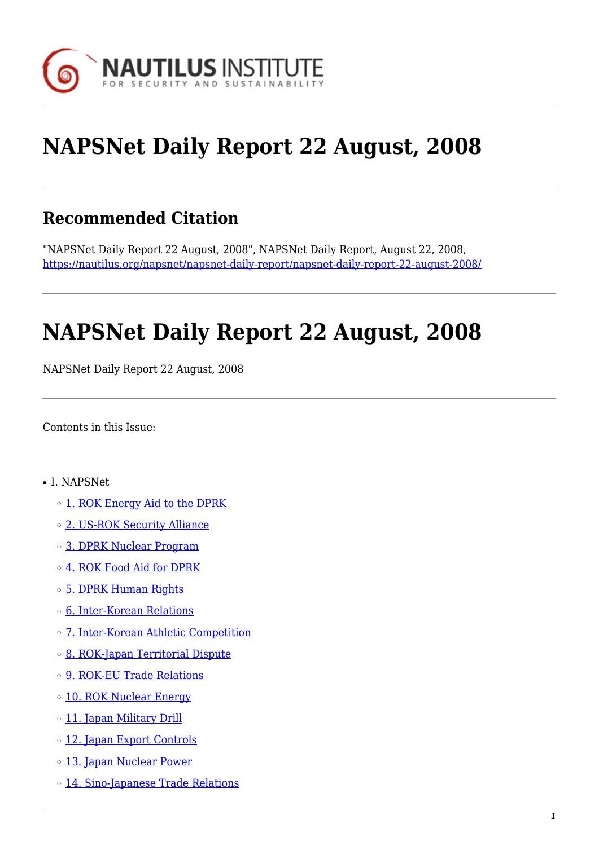

# **NAPSNet Daily Report 22 August, 2008**

# **Recommended Citation**

"NAPSNet Daily Report 22 August, 2008", NAPSNet Daily Report, August 22, 2008, <https://nautilus.org/napsnet/napsnet-daily-report/napsnet-daily-report-22-august-2008/>

# **NAPSNet Daily Report 22 August, 2008**

NAPSNet Daily Report 22 August, 2008

<span id="page-0-0"></span>Contents in this Issue:

- I. NAPSNet
	- ❍ [1. ROK Energy Aid to the DPRK](#page-1-0)
	- o [2. US-ROK Security Alliance](#page-1-1)
	- ❍ [3. DPRK Nuclear Program](#page-2-0)
	- ❍ [4. ROK Food Aid for DPRK](#page-2-1)
	- ❍ [5. DPRK Human Rights](#page-2-2)
	- ❍ [6. Inter-Korean Relations](#page-2-3)
	- ❍ [7. Inter-Korean Athletic Competition](#page-2-4)
	- ❍ [8. ROK-Japan Territorial Dispute](#page-3-0)
	- o **[9. ROK-EU Trade Relations](#page-3-1)**
	- o [10. ROK Nuclear Energy](#page-3-2)
	- o [11. Japan Military Drill](#page-4-0)
	- ❍ [12. Japan Export Controls](#page-4-1)
	- o [13. Japan Nuclear Power](#page-4-2)
	- o [14. Sino-Japanese Trade Relations](#page-4-3)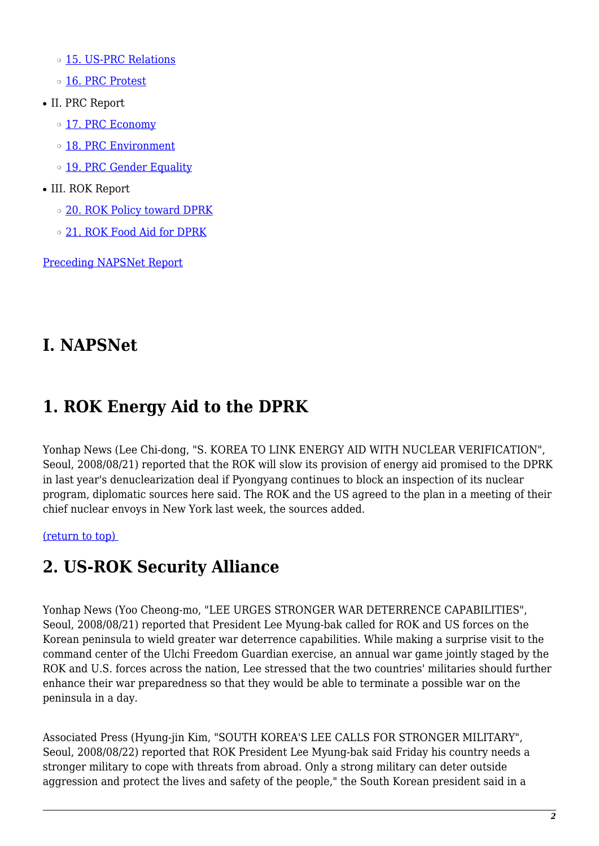- o [15. US-PRC Relations](#page-5-0)
- o [16. PRC Protest](#page-5-1)
- II. PRC Report
	- ❍ [17. PRC Economy](#page-5-2)
	- ❍ [18. PRC Environment](#page-6-0)
	- o [19. PRC Gender Equality](#page-6-1)
- III. ROK Report
	- ❍ [20. ROK Policy toward DPRK](#page-6-2)
	- ❍ [21. ROK Food Aid for DPRK](#page-7-0)

[Preceding NAPSNet Report](https://nautilus.org/mailing-lists/napsnet/dr/2008-2/napsnet-daily-report-21-august-2008/)

# **I. NAPSNet**

# <span id="page-1-0"></span>**1. ROK Energy Aid to the DPRK**

Yonhap News (Lee Chi-dong, "S. KOREA TO LINK ENERGY AID WITH NUCLEAR VERIFICATION", Seoul, 2008/08/21) reported that the ROK will slow its provision of energy aid promised to the DPRK in last year's denuclearization deal if Pyongyang continues to block an inspection of its nuclear program, diplomatic sources here said. The ROK and the US agreed to the plan in a meeting of their chief nuclear envoys in New York last week, the sources added.

<span id="page-1-1"></span>[\(return to top\)](#page-0-0) 

# **2. US-ROK Security Alliance**

Yonhap News (Yoo Cheong-mo, "LEE URGES STRONGER WAR DETERRENCE CAPABILITIES", Seoul, 2008/08/21) reported that President Lee Myung-bak called for ROK and US forces on the Korean peninsula to wield greater war deterrence capabilities. While making a surprise visit to the command center of the Ulchi Freedom Guardian exercise, an annual war game jointly staged by the ROK and U.S. forces across the nation, Lee stressed that the two countries' militaries should further enhance their war preparedness so that they would be able to terminate a possible war on the peninsula in a day.

Associated Press (Hyung-jin Kim, "SOUTH KOREA'S LEE CALLS FOR STRONGER MILITARY", Seoul, 2008/08/22) reported that ROK President Lee Myung-bak said Friday his country needs a stronger military to cope with threats from abroad. Only a strong military can deter outside aggression and protect the lives and safety of the people," the South Korean president said in a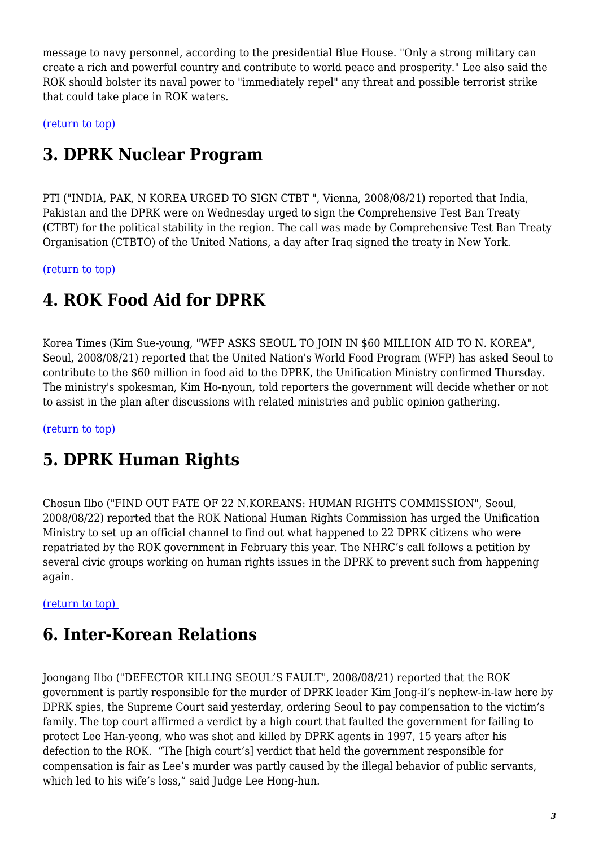message to navy personnel, according to the presidential Blue House. "Only a strong military can create a rich and powerful country and contribute to world peace and prosperity." Lee also said the ROK should bolster its naval power to "immediately repel" any threat and possible terrorist strike that could take place in ROK waters.

<span id="page-2-0"></span>[\(return to top\)](#page-0-0) 

# **3. DPRK Nuclear Program**

PTI ("INDIA, PAK, N KOREA URGED TO SIGN CTBT ", Vienna, 2008/08/21) reported that India, Pakistan and the DPRK were on Wednesday urged to sign the Comprehensive Test Ban Treaty (CTBT) for the political stability in the region. The call was made by Comprehensive Test Ban Treaty Organisation (CTBTO) of the United Nations, a day after Iraq signed the treaty in New York.

<span id="page-2-1"></span>[\(return to top\)](#page-0-0) 

# **4. ROK Food Aid for DPRK**

Korea Times (Kim Sue-young, "WFP ASKS SEOUL TO JOIN IN \$60 MILLION AID TO N. KOREA", Seoul, 2008/08/21) reported that the United Nation's World Food Program (WFP) has asked Seoul to contribute to the \$60 million in food aid to the DPRK, the Unification Ministry confirmed Thursday. The ministry's spokesman, Kim Ho-nyoun, told reporters the government will decide whether or not to assist in the plan after discussions with related ministries and public opinion gathering.

<span id="page-2-2"></span>[\(return to top\)](#page-0-0) 

# **5. DPRK Human Rights**

Chosun Ilbo ("FIND OUT FATE OF 22 N.KOREANS: HUMAN RIGHTS COMMISSION", Seoul, 2008/08/22) reported that the ROK National Human Rights Commission has urged the Unification Ministry to set up an official channel to find out what happened to 22 DPRK citizens who were repatriated by the ROK government in February this year. The NHRC's call follows a petition by several civic groups working on human rights issues in the DPRK to prevent such from happening again.

<span id="page-2-3"></span>[\(return to top\)](#page-0-0) 

### **6. Inter-Korean Relations**

<span id="page-2-4"></span>Joongang Ilbo ("DEFECTOR KILLING SEOUL'S FAULT", 2008/08/21) reported that the ROK government is partly responsible for the murder of DPRK leader Kim Jong-il's nephew-in-law here by DPRK spies, the Supreme Court said yesterday, ordering Seoul to pay compensation to the victim's family. The top court affirmed a verdict by a high court that faulted the government for failing to protect Lee Han-yeong, who was shot and killed by DPRK agents in 1997, 15 years after his defection to the ROK. "The [high court's] verdict that held the government responsible for compensation is fair as Lee's murder was partly caused by the illegal behavior of public servants, which led to his wife's loss," said Judge Lee Hong-hun.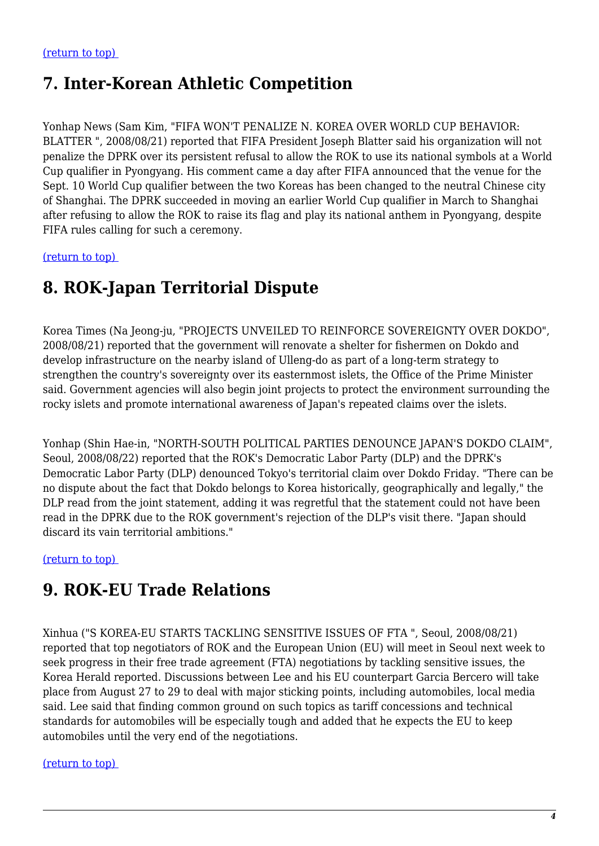### **7. Inter-Korean Athletic Competition**

Yonhap News (Sam Kim, "FIFA WON'T PENALIZE N. KOREA OVER WORLD CUP BEHAVIOR: BLATTER ", 2008/08/21) reported that FIFA President Joseph Blatter said his organization will not penalize the DPRK over its persistent refusal to allow the ROK to use its national symbols at a World Cup qualifier in Pyongyang. His comment came a day after FIFA announced that the venue for the Sept. 10 World Cup qualifier between the two Koreas has been changed to the neutral Chinese city of Shanghai. The DPRK succeeded in moving an earlier World Cup qualifier in March to Shanghai after refusing to allow the ROK to raise its flag and play its national anthem in Pyongyang, despite FIFA rules calling for such a ceremony.

<span id="page-3-0"></span>[\(return to top\)](#page-0-0) 

# **8. ROK-Japan Territorial Dispute**

Korea Times (Na Jeong-ju, "PROJECTS UNVEILED TO REINFORCE SOVEREIGNTY OVER DOKDO", 2008/08/21) reported that the government will renovate a shelter for fishermen on Dokdo and develop infrastructure on the nearby island of Ulleng-do as part of a long-term strategy to strengthen the country's sovereignty over its easternmost islets, the Office of the Prime Minister said. Government agencies will also begin joint projects to protect the environment surrounding the rocky islets and promote international awareness of Japan's repeated claims over the islets.

Yonhap (Shin Hae-in, "NORTH-SOUTH POLITICAL PARTIES DENOUNCE JAPAN'S DOKDO CLAIM", Seoul, 2008/08/22) reported that the ROK's Democratic Labor Party (DLP) and the DPRK's Democratic Labor Party (DLP) denounced Tokyo's territorial claim over Dokdo Friday. "There can be no dispute about the fact that Dokdo belongs to Korea historically, geographically and legally," the DLP read from the joint statement, adding it was regretful that the statement could not have been read in the DPRK due to the ROK government's rejection of the DLP's visit there. "Japan should discard its vain territorial ambitions."

<span id="page-3-1"></span>[\(return to top\)](#page-0-0) 

### **9. ROK-EU Trade Relations**

Xinhua ("S KOREA-EU STARTS TACKLING SENSITIVE ISSUES OF FTA ", Seoul, 2008/08/21) reported that top negotiators of ROK and the European Union (EU) will meet in Seoul next week to seek progress in their free trade agreement (FTA) negotiations by tackling sensitive issues, the Korea Herald reported. Discussions between Lee and his EU counterpart Garcia Bercero will take place from August 27 to 29 to deal with major sticking points, including automobiles, local media said. Lee said that finding common ground on such topics as tariff concessions and technical standards for automobiles will be especially tough and added that he expects the EU to keep automobiles until the very end of the negotiations.

#### <span id="page-3-2"></span>[\(return to top\)](#page-0-0)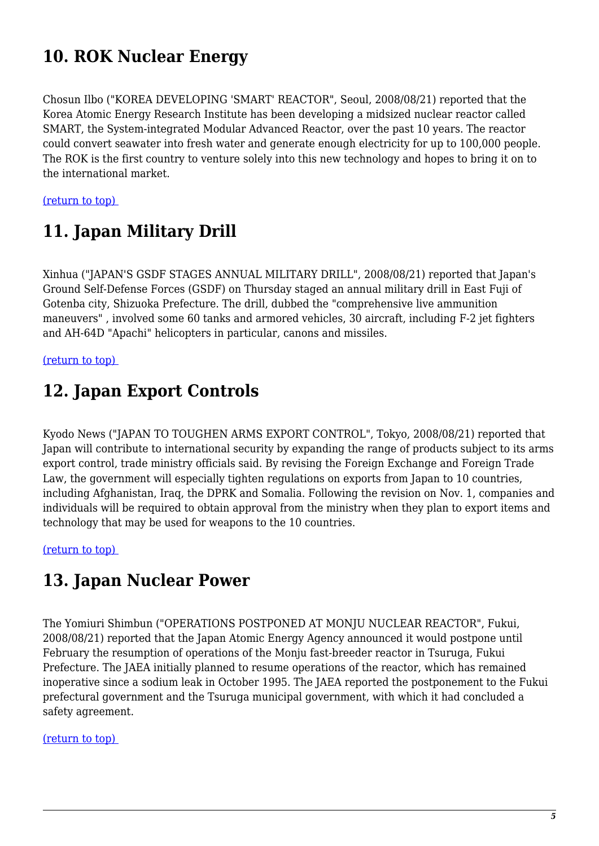# **10. ROK Nuclear Energy**

Chosun Ilbo ("KOREA DEVELOPING 'SMART' REACTOR", Seoul, 2008/08/21) reported that the Korea Atomic Energy Research Institute has been developing a midsized nuclear reactor called SMART, the System-integrated Modular Advanced Reactor, over the past 10 years. The reactor could convert seawater into fresh water and generate enough electricity for up to 100,000 people. The ROK is the first country to venture solely into this new technology and hopes to bring it on to the international market.

<span id="page-4-0"></span>[\(return to top\)](#page-0-0) 

# **11. Japan Military Drill**

Xinhua ("JAPAN'S GSDF STAGES ANNUAL MILITARY DRILL", 2008/08/21) reported that Japan's Ground Self-Defense Forces (GSDF) on Thursday staged an annual military drill in East Fuji of Gotenba city, Shizuoka Prefecture. The drill, dubbed the "comprehensive live ammunition maneuvers" , involved some 60 tanks and armored vehicles, 30 aircraft, including F-2 jet fighters and AH-64D "Apachi" helicopters in particular, canons and missiles.

#### <span id="page-4-1"></span>[\(return to top\)](#page-0-0)

### **12. Japan Export Controls**

Kyodo News ("JAPAN TO TOUGHEN ARMS EXPORT CONTROL", Tokyo, 2008/08/21) reported that Japan will contribute to international security by expanding the range of products subject to its arms export control, trade ministry officials said. By revising the Foreign Exchange and Foreign Trade Law, the government will especially tighten regulations on exports from Japan to 10 countries, including Afghanistan, Iraq, the DPRK and Somalia. Following the revision on Nov. 1, companies and individuals will be required to obtain approval from the ministry when they plan to export items and technology that may be used for weapons to the 10 countries.

<span id="page-4-2"></span>[\(return to top\)](#page-0-0) 

### **13. Japan Nuclear Power**

The Yomiuri Shimbun ("OPERATIONS POSTPONED AT MONJU NUCLEAR REACTOR", Fukui, 2008/08/21) reported that the Japan Atomic Energy Agency announced it would postpone until February the resumption of operations of the Monju fast-breeder reactor in Tsuruga, Fukui Prefecture. The JAEA initially planned to resume operations of the reactor, which has remained inoperative since a sodium leak in October 1995. The JAEA reported the postponement to the Fukui prefectural government and the Tsuruga municipal government, with which it had concluded a safety agreement.

#### <span id="page-4-3"></span>[\(return to top\)](#page-0-0)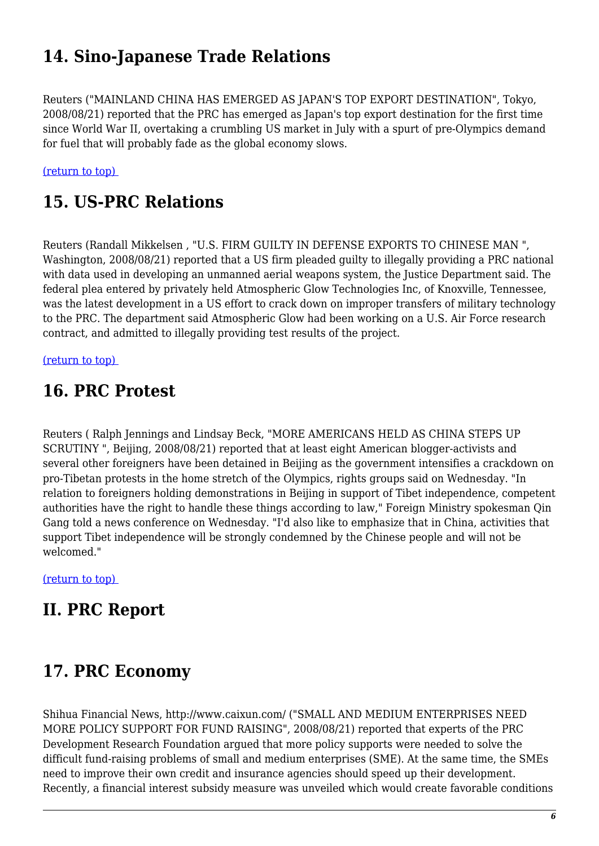# **14. Sino-Japanese Trade Relations**

Reuters ("MAINLAND CHINA HAS EMERGED AS JAPAN'S TOP EXPORT DESTINATION", Tokyo, 2008/08/21) reported that the PRC has emerged as Japan's top export destination for the first time since World War II, overtaking a crumbling US market in July with a spurt of pre-Olympics demand for fuel that will probably fade as the global economy slows.

<span id="page-5-0"></span>[\(return to top\)](#page-0-0) 

# **15. US-PRC Relations**

Reuters (Randall Mikkelsen , "U.S. FIRM GUILTY IN DEFENSE EXPORTS TO CHINESE MAN ", Washington, 2008/08/21) reported that a US firm pleaded guilty to illegally providing a PRC national with data used in developing an unmanned aerial weapons system, the Justice Department said. The federal plea entered by privately held Atmospheric Glow Technologies Inc, of Knoxville, Tennessee, was the latest development in a US effort to crack down on improper transfers of military technology to the PRC. The department said Atmospheric Glow had been working on a U.S. Air Force research contract, and admitted to illegally providing test results of the project.

<span id="page-5-1"></span>[\(return to top\)](#page-0-0) 

# **16. PRC Protest**

Reuters ( Ralph Jennings and Lindsay Beck, "MORE AMERICANS HELD AS CHINA STEPS UP SCRUTINY ", Beijing, 2008/08/21) reported that at least eight American blogger-activists and several other foreigners have been detained in Beijing as the government intensifies a crackdown on pro-Tibetan protests in the home stretch of the Olympics, rights groups said on Wednesday. "In relation to foreigners holding demonstrations in Beijing in support of Tibet independence, competent authorities have the right to handle these things according to law," Foreign Ministry spokesman Qin Gang told a news conference on Wednesday. "I'd also like to emphasize that in China, activities that support Tibet independence will be strongly condemned by the Chinese people and will not be welcomed."

[\(return to top\)](#page-0-0) 

# **II. PRC Report**

### <span id="page-5-2"></span>**17. PRC Economy**

Shihua Financial News, http://www.caixun.com/ ("SMALL AND MEDIUM ENTERPRISES NEED MORE POLICY SUPPORT FOR FUND RAISING", 2008/08/21) reported that experts of the PRC Development Research Foundation argued that more policy supports were needed to solve the difficult fund-raising problems of small and medium enterprises (SME). At the same time, the SMEs need to improve their own credit and insurance agencies should speed up their development. Recently, a financial interest subsidy measure was unveiled which would create favorable conditions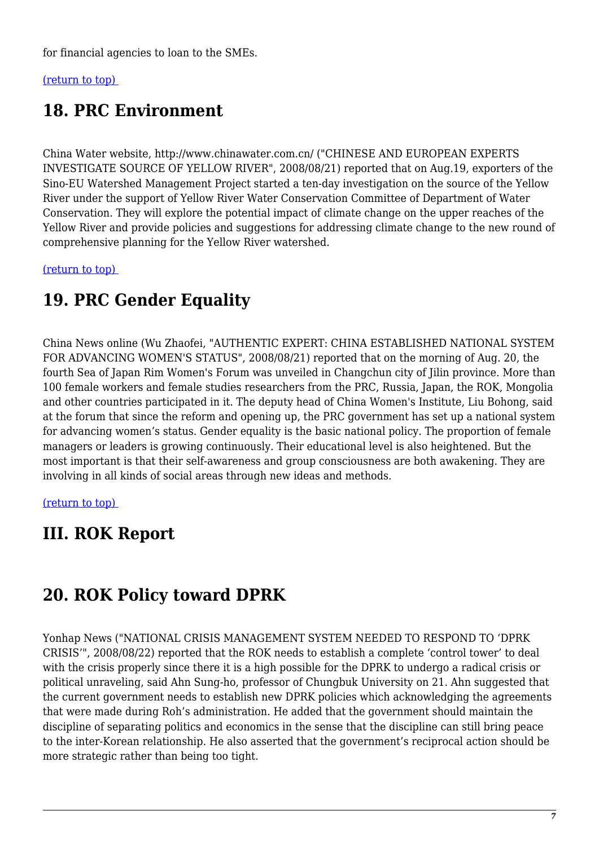for financial agencies to loan to the SMEs.

<span id="page-6-0"></span>[\(return to top\)](#page-0-0) 

# **18. PRC Environment**

China Water website, http://www.chinawater.com.cn/ ("CHINESE AND EUROPEAN EXPERTS INVESTIGATE SOURCE OF YELLOW RIVER", 2008/08/21) reported that on Aug.19, exporters of the Sino-EU Watershed Management Project started a ten-day investigation on the source of the Yellow River under the support of Yellow River Water Conservation Committee of Department of Water Conservation. They will explore the potential impact of climate change on the upper reaches of the Yellow River and provide policies and suggestions for addressing climate change to the new round of comprehensive planning for the Yellow River watershed.

<span id="page-6-1"></span>[\(return to top\)](#page-0-0) 

# **19. PRC Gender Equality**

China News online (Wu Zhaofei, "AUTHENTIC EXPERT: CHINA ESTABLISHED NATIONAL SYSTEM FOR ADVANCING WOMEN'S STATUS", 2008/08/21) reported that on the morning of Aug. 20, the fourth Sea of Japan Rim Women's Forum was unveiled in Changchun city of Jilin province. More than 100 female workers and female studies researchers from the PRC, Russia, Japan, the ROK, Mongolia and other countries participated in it. The deputy head of China Women's Institute, Liu Bohong, said at the forum that since the reform and opening up, the PRC government has set up a national system for advancing women's status. Gender equality is the basic national policy. The proportion of female managers or leaders is growing continuously. Their educational level is also heightened. But the most important is that their self-awareness and group consciousness are both awakening. They are involving in all kinds of social areas through new ideas and methods.

[\(return to top\)](#page-0-0) 

# **III. ROK Report**

# <span id="page-6-2"></span>**20. ROK Policy toward DPRK**

Yonhap News ("NATIONAL CRISIS MANAGEMENT SYSTEM NEEDED TO RESPOND TO 'DPRK CRISIS'", 2008/08/22) reported that the ROK needs to establish a complete 'control tower' to deal with the crisis properly since there it is a high possible for the DPRK to undergo a radical crisis or political unraveling, said Ahn Sung-ho, professor of Chungbuk University on 21. Ahn suggested that the current government needs to establish new DPRK policies which acknowledging the agreements that were made during Roh's administration. He added that the government should maintain the discipline of separating politics and economics in the sense that the discipline can still bring peace to the inter-Korean relationship. He also asserted that the government's reciprocal action should be more strategic rather than being too tight.